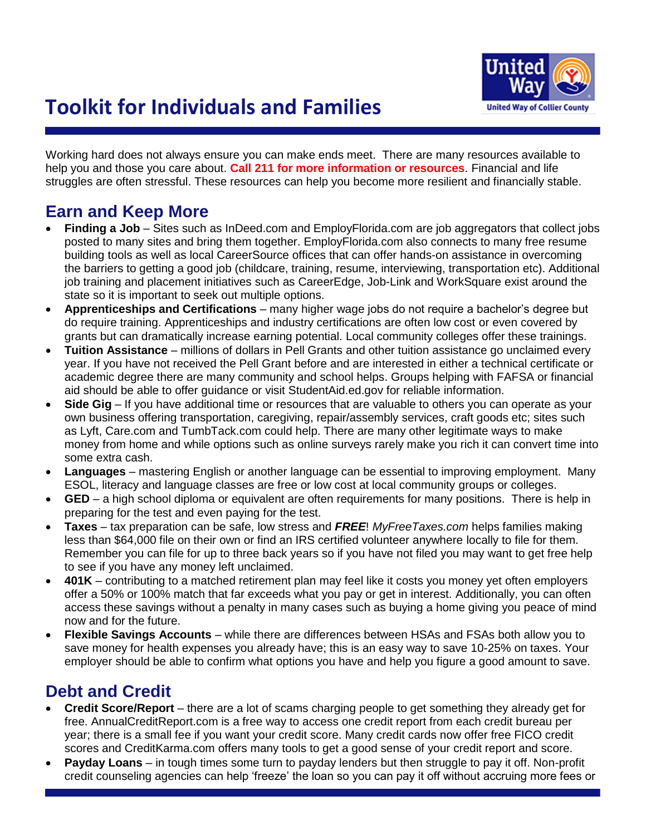

# **Toolkit for Individuals and Families**

Working hard does not always ensure you can make ends meet. There are many resources available to help you and those you care about. **Call 211 for more information or resources**. Financial and life struggles are often stressful. These resources can help you become more resilient and financially stable.

#### **Earn and Keep More**

- **Finding a Job** Sites such as InDeed.com and EmployFlorida.com are job aggregators that collect jobs posted to many sites and bring them together. EmployFlorida.com also connects to many free resume building tools as well as local CareerSource offices that can offer hands-on assistance in overcoming the barriers to getting a good job (childcare, training, resume, interviewing, transportation etc). Additional job training and placement initiatives such as CareerEdge, Job-Link and WorkSquare exist around the state so it is important to seek out multiple options.
- **Apprenticeships and Certifications** many higher wage jobs do not require a bachelor"s degree but do require training. Apprenticeships and industry certifications are often low cost or even covered by grants but can dramatically increase earning potential. Local community colleges offer these trainings.
- **Tuition Assistance** millions of dollars in Pell Grants and other tuition assistance go unclaimed every year. If you have not received the Pell Grant before and are interested in either a technical certificate or academic degree there are many community and school helps. Groups helping with FAFSA or financial aid should be able to offer guidance or visit StudentAid.ed.gov for reliable information.
- **Side Gig** If you have additional time or resources that are valuable to others you can operate as your own business offering transportation, caregiving, repair/assembly services, craft goods etc; sites such as Lyft, Care.com and TumbTack.com could help. There are many other legitimate ways to make money from home and while options such as online surveys rarely make you rich it can convert time into some extra cash.
- **Languages** mastering English or another language can be essential to improving employment. Many ESOL, literacy and language classes are free or low cost at local community groups or colleges.
- **GED** a high school diploma or equivalent are often requirements for many positions. There is help in preparing for the test and even paying for the test.
- **Taxes** tax preparation can be safe, low stress and *FREE*! *MyFreeTaxes.com* helps families making less than \$64,000 file on their own or find an IRS certified volunteer anywhere locally to file for them. Remember you can file for up to three back years so if you have not filed you may want to get free help to see if you have any money left unclaimed.
- **401K** contributing to a matched retirement plan may feel like it costs you money yet often employers offer a 50% or 100% match that far exceeds what you pay or get in interest. Additionally, you can often access these savings without a penalty in many cases such as buying a home giving you peace of mind now and for the future.
- **Flexible Savings Accounts** while there are differences between HSAs and FSAs both allow you to save money for health expenses you already have; this is an easy way to save 10-25% on taxes. Your employer should be able to confirm what options you have and help you figure a good amount to save.

# **Debt and Credit**

- Credit Score/Report there are a lot of scams charging people to get something they already get for free. AnnualCreditReport.com is a free way to access one credit report from each credit bureau per year; there is a small fee if you want your credit score. Many credit cards now offer free FICO credit scores and CreditKarma.com offers many tools to get a good sense of your credit report and score.
- **Payday Loans** in tough times some turn to payday lenders but then struggle to pay it off. Non-profit credit counseling agencies can help "freeze" the loan so you can pay it off without accruing more fees or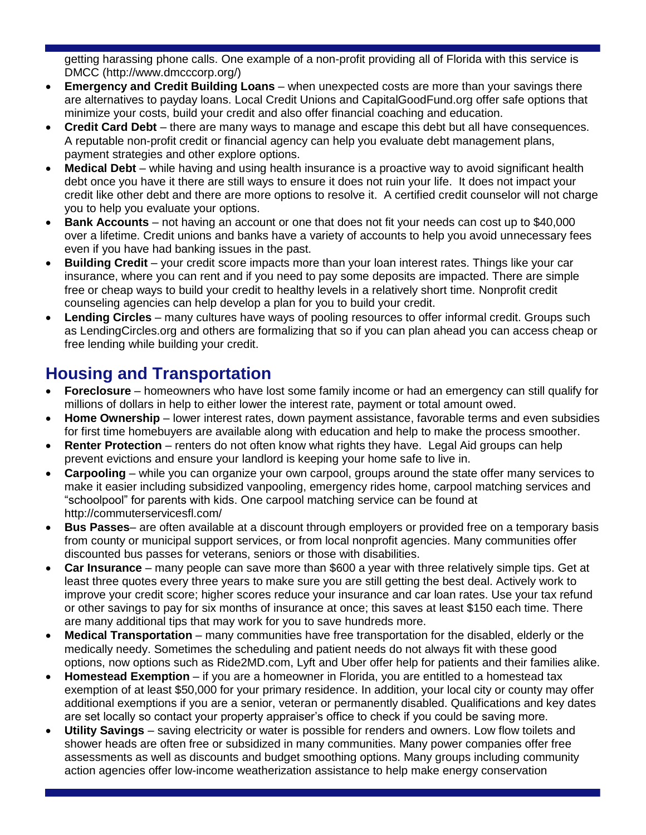getting harassing phone calls. One example of a non-profit providing all of Florida with this service is DMCC (http://www.dmcccorp.org/)

- **Emergency and Credit Building Loans** when unexpected costs are more than your savings there are alternatives to payday loans. Local Credit Unions and CapitalGoodFund.org offer safe options that minimize your costs, build your credit and also offer financial coaching and education.
- **Credit Card Debt** there are many ways to manage and escape this debt but all have consequences. A reputable non-profit credit or financial agency can help you evaluate debt management plans, payment strategies and other explore options.
- **Medical Debt** while having and using health insurance is a proactive way to avoid significant health debt once you have it there are still ways to ensure it does not ruin your life. It does not impact your credit like other debt and there are more options to resolve it. A certified credit counselor will not charge you to help you evaluate your options.
- **Bank Accounts** not having an account or one that does not fit your needs can cost up to \$40,000 over a lifetime. Credit unions and banks have a variety of accounts to help you avoid unnecessary fees even if you have had banking issues in the past.
- **Building Credit** your credit score impacts more than your loan interest rates. Things like your car insurance, where you can rent and if you need to pay some deposits are impacted. There are simple free or cheap ways to build your credit to healthy levels in a relatively short time. Nonprofit credit counseling agencies can help develop a plan for you to build your credit.
- **Lending Circles** many cultures have ways of pooling resources to offer informal credit. Groups such as LendingCircles.org and others are formalizing that so if you can plan ahead you can access cheap or free lending while building your credit.

# **Housing and Transportation**

- **Foreclosure** homeowners who have lost some family income or had an emergency can still qualify for millions of dollars in help to either lower the interest rate, payment or total amount owed.
- **Home Ownership** lower interest rates, down payment assistance, favorable terms and even subsidies for first time homebuyers are available along with education and help to make the process smoother.
- **Renter Protection** renters do not often know what rights they have. Legal Aid groups can help prevent evictions and ensure your landlord is keeping your home safe to live in.
- **Carpooling** while you can organize your own carpool, groups around the state offer many services to make it easier including subsidized vanpooling, emergency rides home, carpool matching services and "schoolpool" for parents with kids. One carpool matching service can be found at http://commuterservicesfl.com/
- **Bus Passes** are often available at a discount through employers or provided free on a temporary basis from county or municipal support services, or from local nonprofit agencies. Many communities offer discounted bus passes for veterans, seniors or those with disabilities.
- **Car Insurance** many people can save more than \$600 a year with three relatively simple tips. Get at least three quotes every three years to make sure you are still getting the best deal. Actively work to improve your credit score; higher scores reduce your insurance and car loan rates. Use your tax refund or other savings to pay for six months of insurance at once; this saves at least \$150 each time. There are many additional tips that may work for you to save hundreds more.
- **Medical Transportation** many communities have free transportation for the disabled, elderly or the medically needy. Sometimes the scheduling and patient needs do not always fit with these good options, now options such as Ride2MD.com, Lyft and Uber offer help for patients and their families alike.
- **Homestead Exemption** if you are a homeowner in Florida, you are entitled to a homestead tax exemption of at least \$50,000 for your primary residence. In addition, your local city or county may offer additional exemptions if you are a senior, veteran or permanently disabled. Qualifications and key dates are set locally so contact your property appraiser"s office to check if you could be saving more.
- **Utility Savings** saving electricity or water is possible for renders and owners. Low flow toilets and shower heads are often free or subsidized in many communities. Many power companies offer free assessments as well as discounts and budget smoothing options. Many groups including community action agencies offer low-income weatherization assistance to help make energy conservation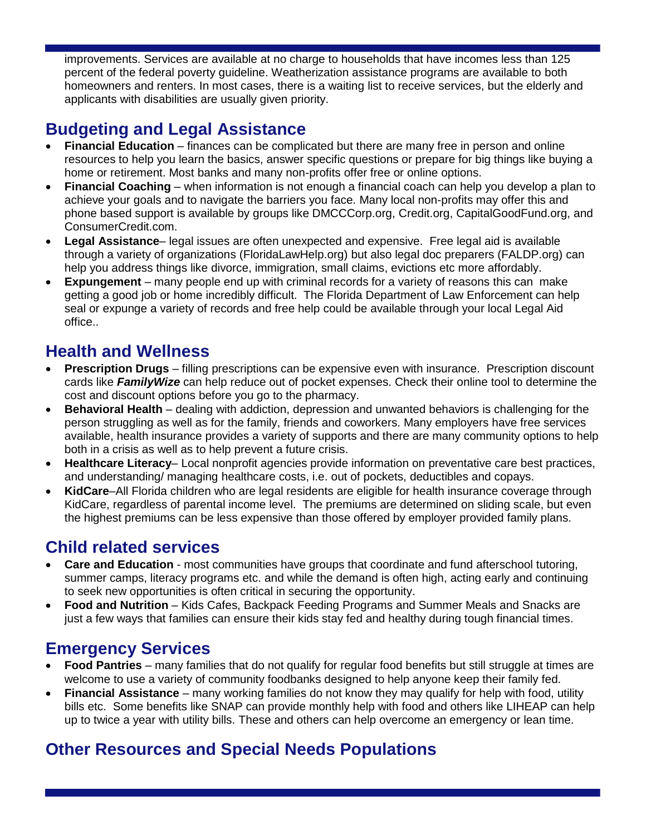improvements. Services are available at no charge to households that have incomes less than 125 percent of the federal poverty guideline. Weatherization assistance programs are available to both homeowners and renters. In most cases, there is a waiting list to receive services, but the elderly and applicants with disabilities are usually given priority.

#### **Budgeting and Legal Assistance**

- **Financial Education** finances can be complicated but there are many free in person and online resources to help you learn the basics, answer specific questions or prepare for big things like buying a home or retirement. Most banks and many non-profits offer free or online options.
- **Financial Coaching** when information is not enough a financial coach can help you develop a plan to achieve your goals and to navigate the barriers you face. Many local non-profits may offer this and phone based support is available by groups like DMCCCorp.org, Credit.org, CapitalGoodFund.org, and ConsumerCredit.com.
- **Legal Assistance** legal issues are often unexpected and expensive. Free legal aid is available through a variety of organizations (FloridaLawHelp.org) but also legal doc preparers (FALDP.org) can help you address things like divorce, immigration, small claims, evictions etc more affordably.
- **Expungement** many people end up with criminal records for a variety of reasons this can make getting a good job or home incredibly difficult. The Florida Department of Law Enforcement can help seal or expunge a variety of records and free help could be available through your local Legal Aid office..

# **Health and Wellness**

- **Prescription Drugs** filling prescriptions can be expensive even with insurance. Prescription discount cards like *FamilyWize* can help reduce out of pocket expenses. Check their online tool to determine the cost and discount options before you go to the pharmacy.
- **Behavioral Health** dealing with addiction, depression and unwanted behaviors is challenging for the person struggling as well as for the family, friends and coworkers. Many employers have free services available, health insurance provides a variety of supports and there are many community options to help both in a crisis as well as to help prevent a future crisis.
- **Healthcare Literacy** Local nonprofit agencies provide information on preventative care best practices, and understanding/ managing healthcare costs, i.e. out of pockets, deductibles and copays.
- **KidCare**–All Florida children who are legal residents are eligible for health insurance coverage through KidCare, regardless of parental income level. The premiums are determined on sliding scale, but even the highest premiums can be less expensive than those offered by employer provided family plans.

# **Child related services**

- **Care and Education** most communities have groups that coordinate and fund afterschool tutoring, summer camps, literacy programs etc. and while the demand is often high, acting early and continuing to seek new opportunities is often critical in securing the opportunity.
- **Food and Nutrition** Kids Cafes, Backpack Feeding Programs and Summer Meals and Snacks are just a few ways that families can ensure their kids stay fed and healthy during tough financial times.

# **Emergency Services**

- **Food Pantries** many families that do not qualify for regular food benefits but still struggle at times are welcome to use a variety of community foodbanks designed to help anyone keep their family fed.
- **Financial Assistance** many working families do not know they may qualify for help with food, utility bills etc. Some benefits like SNAP can provide monthly help with food and others like LIHEAP can help up to twice a year with utility bills. These and others can help overcome an emergency or lean time.

# **Other Resources and Special Needs Populations**